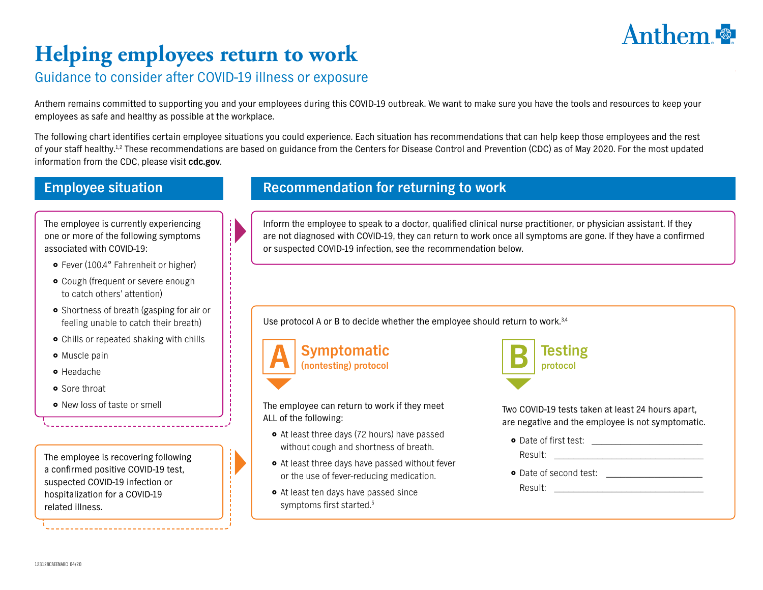# Anthem

## **Helping employees return to work**

## Guidance to consider after COVID-19 illness or exposure

Anthem remains committed to supporting you and your employees during this COVID-19 outbreak. We want to make sure you have the tools and resources to keep your employees as safe and healthy as possible at the workplace.

The following chart identifies certain employee situations you could experience. Each situation has recommendations that can help keep those employees and the rest of your staff healthy.<sup>1,2</sup> These recommendations are based on guidance from the Centers for Disease Control and Prevention (CDC) as of May 2020. For the most updated information from the CDC, please visit **[cdc.gov](http://cdc.gov/coronavirus/2019-ncov/community/organizations/businesses-employers.html)**.

## **Employee situation**

The employee is currently experiencing one or more of the following symptoms associated with COVID-19:

- **•** Fever (100.4° Fahrenheit or higher)
- Cough (frequent or severe enough to catch others' attention)
- Shortness of breath (gasping for air or feeling unable to catch their breath)
- Chills or repeated shaking with chills
- **•** Muscle pain
- **o** Headache
- **o** Sore throat
- New loss of taste or smell

The employee is recovering following a confirmed positive COVID-19 test, suspected COVID-19 infection or hospitalization for a COVID-19 related illness.

## **Recommendation for returning to work**

Inform the employee to speak to a doctor, qualified clinical nurse practitioner, or physician assistant. If they are not diagnosed with COVID-19, they can return to work once all symptoms are gone. If they have a confirmed or suspected COVID-19 infection, see the recommendation below.

Use protocol A or B to decide whether the employee should return to work.<sup>3,4</sup>



**Symptomatic (nontesting) protocol**

The employee can return to work if they meet ALL of the following:

- At least three days (72 hours) have passed without cough and shortness of breath.
- At least three days have passed without fever or the use of fever-reducing medication.
- At least ten days have passed since symptoms first started.<sup>5</sup>

**Testing protocol**

Two COVID-19 tests taken at least 24 hours apart, are negative and the employee is not symptomatic.

| • Date of first test:  |
|------------------------|
| Result:                |
| • Date of second test: |

Result: \_\_\_\_\_\_\_\_\_\_\_\_\_\_\_\_\_\_\_\_\_\_\_\_\_\_\_\_\_\_\_